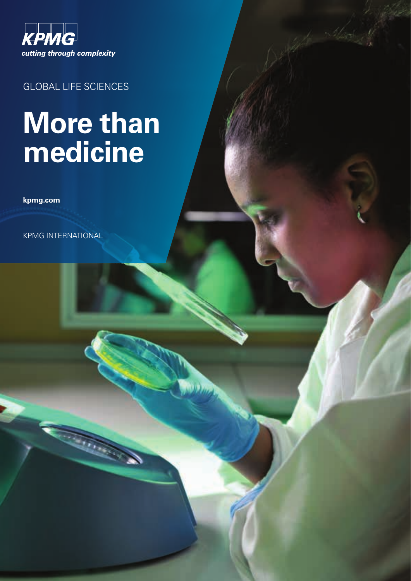

GLOBAL LIFE SCIENCES

## **More than medicine**

**[kpmg.com](http://kpmg.com)**

KPMG international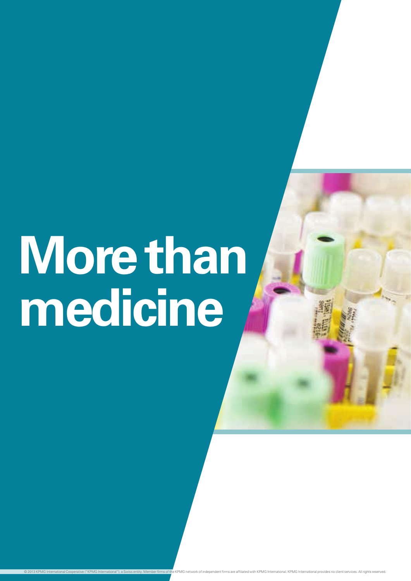# **More than medicine**

© 2013 KPMG International Cooperative ("KPMG International"), a Swiss entity. Member firms of the KPMG network of independent firms are affiliated with KPMG International. KPMG International provides no client services. Al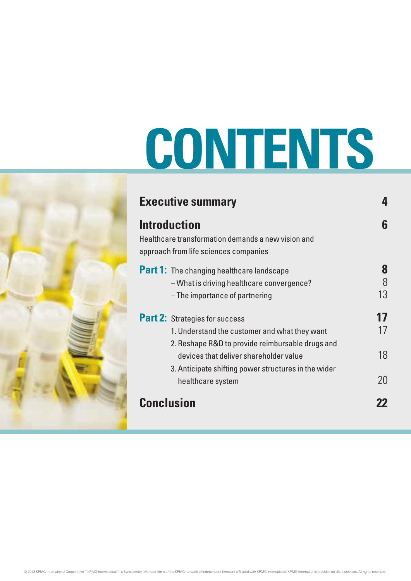# **CONTENTS**

| <b>Executive summary</b>                                                                                                                                                                                                                                          |                       |
|-------------------------------------------------------------------------------------------------------------------------------------------------------------------------------------------------------------------------------------------------------------------|-----------------------|
| <b>Introduction</b><br>Healthcare transformation demands a new vision and<br>approach from life sciences companies                                                                                                                                                | 6                     |
| <b>Part 1:</b> The changing healthcare landscape<br>- What is driving healthcare convergence?<br>- The importance of partnering                                                                                                                                   | 8<br>8<br>13          |
| <b>Part 2: Strategies for success</b><br>1. Understand the customer and what they want<br>2. Reshape R&D to provide reimbursable drugs and<br>devices that deliver shareholder value<br>3. Anticipate shifting power structures in the wider<br>healthcare system | 17<br>1 /<br>18<br>20 |
| <b>Conclusion</b>                                                                                                                                                                                                                                                 |                       |

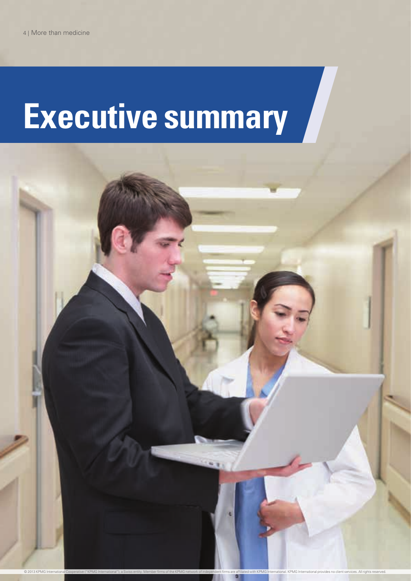## **Executive summary**

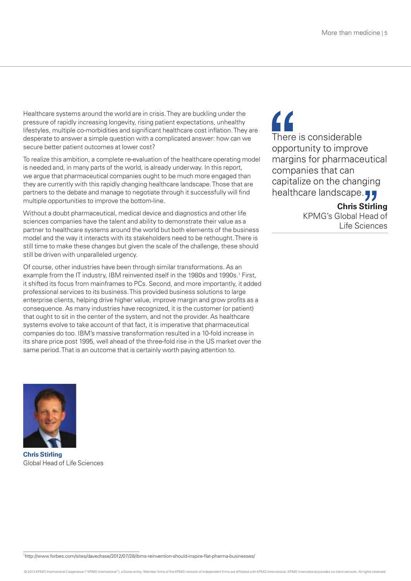Healthcare systems around the world are in crisis. They are buckling under the pressure of rapidly increasing longevity, rising patient expectations, unhealthy lifestyles, multiple co-morbidities and significant healthcare cost inflation. They are desperate to answer a simple question with a complicated answer: how can we secure better patient outcomes at lower cost?

To realize this ambition, a complete re-evaluation of the healthcare operating model is needed and, in many parts of the world, is already underway. In this report, we argue that pharmaceutical companies ought to be much more engaged than they are currently with this rapidly changing healthcare landscape. Those that are partners to the debate and manage to negotiate through it successfully will find multiple opportunities to improve the bottom-line.

Without a doubt pharmaceutical, medical device and diagnostics and other life sciences companies have the talent and ability to demonstrate their value as a partner to healthcare systems around the world but both elements of the business model and the way it interacts with its stakeholders need to be rethought. There is still time to make these changes but given the scale of the challenge, these should still be driven with unparalleled urgency.

Of course, other industries have been through similar transformations. As an example from the IT industry, IBM reinvented itself in the 1980s and 1990s.<sup>1</sup> First, it shifted its focus from mainframes to PCs. Second, and more importantly, it added professional services to its business. This provided business solutions to large enterprise clients, helping drive higher value, improve margin and grow profits as a consequence. As many industries have recognized, it is the customer (or patient) that ought to sit in the center of the system, and not the provider. As healthcare systems evolve to take account of that fact, it is imperative that pharmaceutical companies do too. IBM's massive transformation resulted in a 10-fold increase in its share price post 1995, well ahead of the three-fold rise in the US market over the same period. That is an outcome that is certainly worth paying attention to.

 $\epsilon$ There is considerable opportunity to improve margins for pharmaceutical companies that can capitalize on the changing healthcare landscape.

#### **Chris Stirling**

KPMG's Global Head of Life Sciences



**Chris Stirling** Global Head of Life Sciences

1 http://[www.forbes.com/sites/davechase/2012/07/28/ibms-reinvention-should-inspire-flat-pharma-businesses/](http://www.forbes.com/sites/davechase/2012/07/28/ibms-reinvention-should-inspire-flat-pharma-businesses/)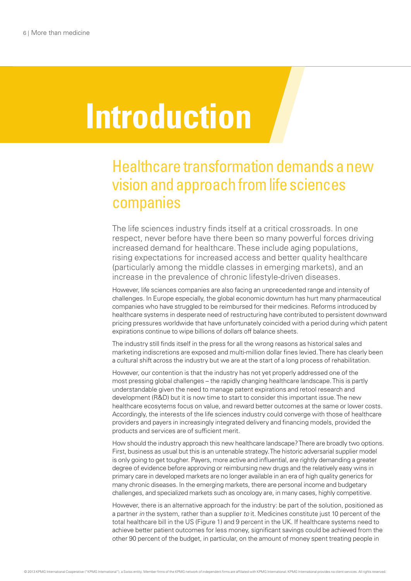## **Introduction**

## Healthcare transformation demands a new vision and approach from life sciences companies

The life sciences industry finds itself at a critical crossroads. In one respect, never before have there been so many powerful forces driving increased demand for healthcare. These include aging populations, rising expectations for increased access and better quality healthcare (particularly among the middle classes in emerging markets), and an increase in the prevalence of chronic lifestyle-driven diseases.

However, life sciences companies are also facing an unprecedented range and intensity of challenges. In Europe especially, the global economic downturn has hurt many pharmaceutical companies who have struggled to be reimbursed for their medicines. Reforms introduced by healthcare systems in desperate need of restructuring have contributed to persistent downward pricing pressures worldwide that have unfortunately coincided with a period during which patent expirations continue to wipe billions of dollars off balance sheets.

The industry still finds itself in the press for all the wrong reasons as historical sales and marketing indiscretions are exposed and multi-million dollar fines levied. There has clearly been a cultural shift across the industry but we are at the start of a long process of rehabilitation.

However, our contention is that the industry has not yet properly addressed one of the most pressing global challenges – the rapidly changing healthcare landscape. This is partly understandable given the need to manage patent expirations and retool research and development (R&D) but it is now time to start to consider this important issue. The new healthcare ecosytems focus on value, and reward better outcomes at the same or lower costs. Accordingly, the interests of the life sciences industry could converge with those of healthcare providers and payers in increasingly integrated delivery and financing models, provided the products and services are of sufficient merit.

How should the industry approach this new healthcare landscape? There are broadly two options. First, business as usual but this is an untenable strategy. The historic adversarial supplier model is only going to get tougher. Payers, more active and influential, are rightly demanding a greater degree of evidence before approving or reimbursing new drugs and the relatively easy wins in primary care in developed markets are no longer available in an era of high quality generics for many chronic diseases. In the emerging markets, there are personal income and budgetary challenges, and specialized markets such as oncology are, in many cases, highly competitive.

However, there is an alternative approach for the industry: be part of the solution, positioned as a partner *in* the system, rather than a supplier *to* it. Medicines constitute just 10 percent of the total healthcare bill in the US (Figure 1) and 9 percent in the UK. If healthcare systems need to achieve better patient outcomes for less money, significant savings could be achieved from the other 90 percent of the budget, in particular, on the amount of money spent treating people in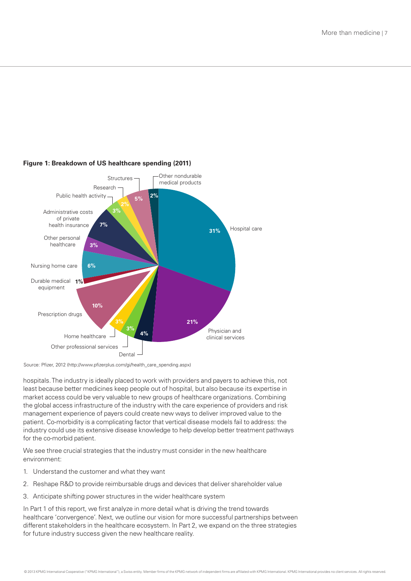

#### **Figure 1: Breakdown of US healthcare spending (2011)**

Source: Pfizer, 2012 [\(http://www.pfizerplus.com/gi/health\\_care\\_spending.aspx\)](http://www.pfizerplus.com/gi/health_care_spending.aspx)

hospitals. The industry is ideally placed to work with providers and payers to achieve this, not least because better medicines keep people out of hospital, but also because its expertise in market access could be very valuable to new groups of healthcare organizations. Combining the global access infrastructure of the industry with the care experience of providers and risk management experience of payers could create new ways to deliver improved value to the patient. Co-morbidity is a complicating factor that vertical disease models fail to address: the industry could use its extensive disease knowledge to help develop better treatment pathways for the co-morbid patient.

We see three crucial strategies that the industry must consider in the new healthcare environment:

- 1. Understand the customer and what they want
- 2. Reshape R&D to provide reimbursable drugs and devices that deliver shareholder value
- 3. Anticipate shifting power structures in the wider healthcare system

In Part 1 of this report, we first analyze in more detail what is driving the trend towards healthcare 'convergence'. Next, we outline our vision for more successful partnerships between different stakeholders in the healthcare ecosystem. In Part 2, we expand on the three strategies for future industry success given the new healthcare reality.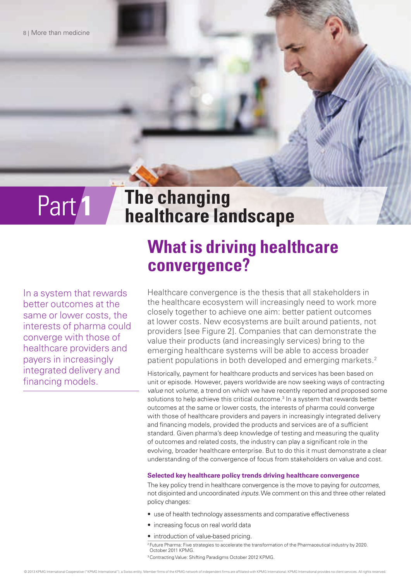### Part **1 The changing healthcare landscape**

In a system that rewards better outcomes at the same or lower costs, the interests of pharma could converge with those of healthcare providers and payers in increasingly integrated delivery and financing models.

## **What is driving healthcare convergence?**

Healthcare convergence is the thesis that all stakeholders in the healthcare ecosystem will increasingly need to work more closely together to achieve one aim: better patient outcomes at lower costs. New ecosystems are built around patients, not providers [see Figure 2]. Companies that can demonstrate the value their products (and increasingly services) bring to the emerging healthcare systems will be able to access broader patient populations in both developed and emerging markets.<sup>2</sup>

Historically, payment for healthcare products and services has been based on unit or episode. However, payers worldwide are now seeking ways of contracting *value* not *volume*, a trend on which we have recently reported and proposed some solutions to help achieve this critical outcome.<sup>3</sup> In a system that rewards better outcomes at the same or lower costs, the interests of pharma could converge with those of healthcare providers and payers in increasingly integrated delivery and financing models, provided the products and services are of a sufficient standard. Given pharma's deep knowledge of testing and measuring the quality of outcomes and related costs, the industry can play a significant role in the evolving, broader healthcare enterprise. But to do this it must demonstrate a clear understanding of the convergence of focus from stakeholders on value and cost.

#### **Selected key healthcare policy trends driving healthcare convergence**

The key policy trend in healthcare convergence is the move to paying for *outcomes*, not disjointed and uncoordinated *inputs*. We comment on this and three other related policy changes:

- use of health technology assessments and comparative effectiveness
- increasing focus on real world data
- introduction of value-based pricing.

<sup>3</sup> Contracting Value: Shifting Paradigms October 2012 KPMG

<sup>&</sup>lt;sup>2</sup> Future Pharma: Five strategies to accelerate the transformation of the Pharmaceutical industry by 2020. October 2011 KPMG.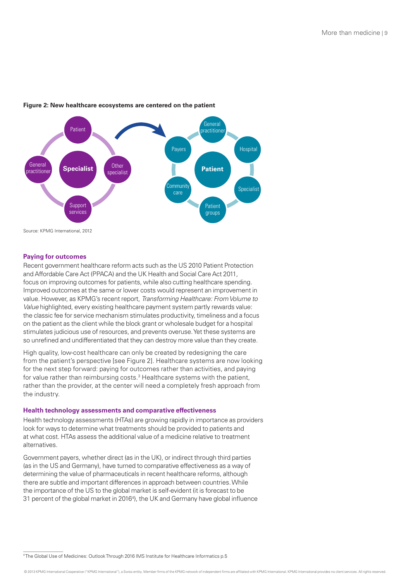

#### **Figure 2: New healthcare ecosystems are centered on the patient**

```
Source: KPMG International, 2012
```
#### **Paying for outcomes**

Recent government healthcare reform acts such as the US 2010 Patient Protection and Affordable Care Act (PPACA) and the UK Health and Social Care Act 2011, focus on improving outcomes for patients, while also cutting healthcare spending. Improved outcomes at the same or lower costs would represent an improvement in value. However, as KPMG's recent report, *Transforming Healthcare: From Volume to Value* highlighted, every existing healthcare payment system partly rewards value: the classic fee for service mechanism stimulates productivity, timeliness and a focus on the patient as the client while the block grant or wholesale budget for a hospital stimulates judicious use of resources, and prevents overuse. Yet these systems are so unrefined and undifferentiated that they can destroy more value than they create.

High quality, low-cost healthcare can only be created by redesigning the care from the patient's perspective [see Figure 2]. Healthcare systems are now looking for the next step forward: paying for outcomes rather than activities, and paying for value rather than reimbursing costs.<sup>3</sup> Healthcare systems with the patient, rather than the provider, at the center will need a completely fresh approach from the industry.

#### **Health technology assessments and comparative effectiveness**

Health technology assessments (HTAs) are growing rapidly in importance as providers look for ways to determine what treatments should be provided to patients and at what cost. HTAs assess the additional value of a medicine relative to treatment alternatives.

Government payers, whether direct (as in the UK), or indirect through third parties (as in the US and Germany), have turned to comparative effectiveness as a way of determining the value of pharmaceuticals in recent healthcare reforms, although there are subtle and important differences in approach between countries. While the importance of the US to the global market is self-evident (it is forecast to be 31 percent of the global market in 20164 ), the UK and Germany have global influence

<sup>4</sup> The Global Use of Medicines: Outlook Through 2016 IMS Institute for Healthcare Informatics p.5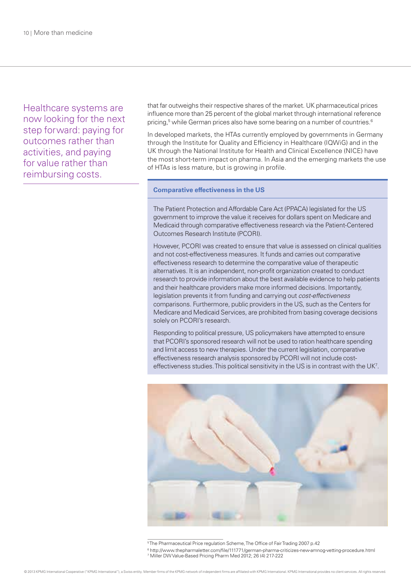Healthcare systems are now looking for the next step forward: paying for outcomes rather than activities, and paying for value rather than reimbursing costs.

that far outweighs their respective shares of the market. UK pharmaceutical prices influence more than 25 percent of the global market through international reference pricing, $^5$  while German prices also have some bearing on a number of countries. $^6$ 

In developed markets, the HTAs currently employed by governments in Germany through the Institute for Quality and Efficiency in Healthcare (IQWiG) and in the UK through the National Institute for Health and Clinical Excellence (NICE) have the most short-term impact on pharma. In Asia and the emerging markets the use of HTAs is less mature, but is growing in profile.

#### **Comparative effectiveness in the US**

The Patient Protection and Affordable Care Act (PPACA) legislated for the US government to improve the value it receives for dollars spent on Medicare and Medicaid through comparative effectiveness research via the Patient-Centered Outcomes Research Institute (PCORI).

However, PCORI was created to ensure that value is assessed on clinical qualities and not cost-effectiveness measures. It funds and carries out comparative effectiveness research to determine the comparative value of therapeutic alternatives. It is an independent, non-profit organization created to conduct research to provide information about the best available evidence to help patients and their healthcare providers make more informed decisions. Importantly, legislation prevents it from funding and carrying out *cost-effectiveness* comparisons. Furthermore, public providers in the US, such as the Centers for Medicare and Medicaid Services, are prohibited from basing coverage decisions solely on PCORI's research.

Responding to political pressure, US policymakers have attempted to ensure that PCORI's sponsored research will not be used to ration healthcare spending and limit access to new therapies. Under the current legislation, comparative effectiveness research analysis sponsored by PCORI will not include costeffectiveness studies. This political sensitivity in the US is in contrast with the UK<sup>7</sup>.



<sup>5</sup> The Pharmaceutical Price regulation Scheme, The Office of Fair Trading 2007 p.42

6 <http://www.thepharmaletter.com/file/111771/german-pharma-criticizes-new-amnog-vetting-procedure.html>

7 Miller DW Value-Based Pricing Pharm Med 2012; 26 (4) 217-222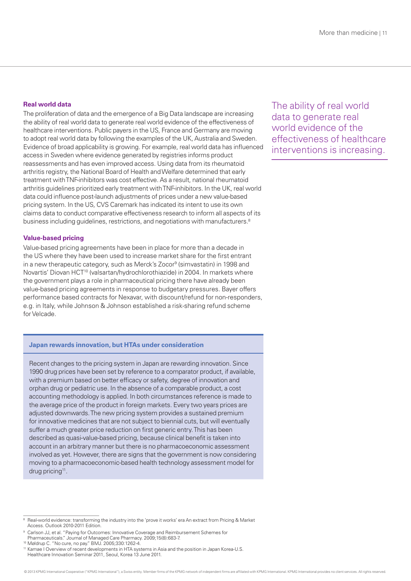#### **Real world data**

The proliferation of data and the emergence of a Big Data landscape are increasing the ability of real world data to generate real world evidence of the effectiveness of healthcare interventions. Public payers in the US, France and Germany are moving to adopt real world data by following the examples of the UK, Australia and Sweden. Evidence of broad applicability is growing. For example, real world data has influenced access in Sweden where evidence generated by registries informs product reassessments and has even improved access. Using data from its rheumatoid arthritis registry, the National Board of Health and Welfare determined that early treatment with TNF-inhibitors was cost effective. As a result, national rheumatoid arthritis guidelines prioritized early treatment with TNF-inhibitors. In the UK, real world data could influence post-launch adjustments of prices under a new value-based pricing system. In the US, CVS Caremark has indicated its intent to use its own claims data to conduct comparative effectiveness research to inform all aspects of its business including guidelines, restrictions, and negotiations with manufacturers.<sup>8</sup>

#### **Value-based pricing**

Value-based pricing agreements have been in place for more than a decade in the US where they have been used to increase market share for the first entrant in a new therapeutic category, such as Merck's Zocor9 (simvastatin) in 1998 and Novartis' Diovan HCT<sup>10</sup> (valsartan/hydrochlorothiazide) in 2004. In markets where the government plays a role in pharmaceutical pricing there have already been value-based pricing agreements in response to budgetary pressures. Bayer offers performance based contracts for Nexavar, with discount/refund for non-responders, e.g. in Italy, while Johnson & Johnson established a risk-sharing refund scheme for Velcade.

#### **Japan rewards innovation, but HTAs under consideration**

Recent changes to the pricing system in Japan are rewarding innovation. Since 1990 drug prices have been set by reference to a comparator product, if available, with a premium based on better efficacy or safety, degree of innovation and orphan drug or pediatric use. In the absence of a comparable product, a cost accounting methodology is applied. In both circumstances reference is made to the average price of the product in foreign markets. Every two years prices are adjusted downwards. The new pricing system provides a sustained premium for innovative medicines that are not subject to biennial cuts, but will eventually suffer a much greater price reduction on first generic entry. This has been described as quasi-value-based pricing, because clinical benefit is taken into account in an arbitrary manner but there is no pharmacoeconomic assessment involved as yet. However, there are signs that the government is now considering moving to a pharmacoeconomic-based health technology assessment model for drug pricing<sup>11</sup>.

10 Møldrup C. "No cure, no pay." BMJ. 2005;330:1262-4.

The ability of real world data to generate real world evidence of the effectiveness of healthcare interventions is increasing.

<sup>&</sup>lt;sup>8</sup> Real-world evidence: transforming the industry into the 'prove it works' era An extract from Pricing & Market Access. Outlook 2010-2011 Edition.

<sup>9</sup> Carlson JJ, et al. "Paying for Outcomes: Innovative Coverage and Reimbursement Schemes for Pharmaceuticals." Journal of Managed Care Pharmacy. 2009;15(8):683-7.

<sup>11</sup> Kamae I Overview of recent developments in HTA systems in Asia and the position in Japan Korea-U.S. Healthcare Innovation Seminar 2011, Seoul, Korea 13 June 2011.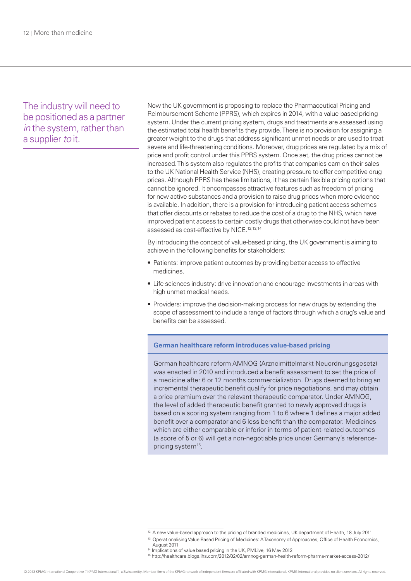The industry will need to be positioned as a partner *in* the system, rather than a supplier *to* it.

Now the UK government is proposing to replace the Pharmaceutical Pricing and Reimbursement Scheme (PPRS), which expires in 2014, with a value-based pricing system. Under the current pricing system, drugs and treatments are assessed using the estimated total health benefits they provide. There is no provision for assigning a greater weight to the drugs that address significant unmet needs or are used to treat severe and life-threatening conditions. Moreover, drug prices are regulated by a mix of price and profit control under this PPRS system. Once set, the drug prices cannot be increased. This system also regulates the profits that companies earn on their sales to the UK National Health Service (NHS), creating pressure to offer competitive drug prices. Although PPRS has these limitations, it has certain flexible pricing options that cannot be ignored. It encompasses attractive features such as freedom of pricing for new active substances and a provision to raise drug prices when more evidence is available. In addition, there is a provision for introducing patient access schemes that offer discounts or rebates to reduce the cost of a drug to the NHS, which have improved patient access to certain costly drugs that otherwise could not have been assessed as cost-effective by NICE.12,13,14

By introducing the concept of value-based pricing, the UK government is aiming to achieve in the following benefits for stakeholders:

- Patients: improve patient outcomes by providing better access to effective medicines.
- Life sciences industry: drive innovation and encourage investments in areas with high unmet medical needs.
- Providers: improve the decision-making process for new drugs by extending the scope of assessment to include a range of factors through which a drug's value and benefits can be assessed.

**German healthcare reform introduces value-based pricing**

German healthcare reform AMNOG (Arzneimittelmarkt-Neuordnungsgesetz) was enacted in 2010 and introduced a benefit assessment to set the price of a medicine after 6 or 12 months commercialization. Drugs deemed to bring an incremental therapeutic benefit qualify for price negotiations, and may obtain a price premium over the relevant therapeutic comparator. Under AMNOG, the level of added therapeutic benefit granted to newly approved drugs is based on a scoring system ranging from 1 to 6 where 1 defines a major added benefit over a comparator and 6 less benefit than the comparator. Medicines which are either comparable or inferior in terms of patient-related outcomes (a score of 5 or 6) will get a non-negotiable price under Germany's referencepricing system<sup>15</sup>.

<sup>&</sup>lt;sup>12</sup> A new value-based approach to the pricing of branded medicines, UK department of Health, 18 July 2011

<sup>&</sup>lt;sup>13</sup> Operationalising Value Based Pricing of Medicines: A Taxonomy of Approaches, Office of Health Economics, August 2011

<sup>14</sup> Implications of value based pricing in the UK, PMLive, 16 May 2012

<sup>15</sup><http://healthcare.blogs.ihs.com/2012/02/02/amnog-german-health-reform-pharma-market-access-2012/>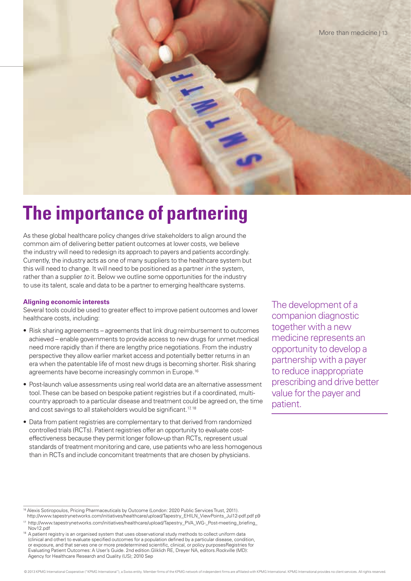

## **The importance of partnering**

As these global healthcare policy changes drive stakeholders to align around the common aim of delivering better patient outcomes at lower costs, we believe the industry will need to redesign its approach to payers and patients accordingly. Currently, the industry acts as one of many suppliers to the healthcare system but this will need to change. It will need to be positioned as a partner *in* the system, rather than a supplier *to* it. Below we outline some opportunities for the industry to use its talent, scale and data to be a partner to emerging healthcare systems.

#### **Aligning economic interests**

Several tools could be used to greater effect to improve patient outcomes and lower healthcare costs, including:

- Risk sharing agreements agreements that link drug reimbursement to outcomes achieved – enable governments to provide access to new drugs for unmet medical need more rapidly than if there are lengthy price negotiations. From the industry perspective they allow earlier market access and potentially better returns in an era when the patentable life of most new drugs is becoming shorter. Risk sharing agreements have become increasingly common in Europe.<sup>16</sup>
- Post-launch value assessments using real world data are an alternative assessment tool. These can be based on bespoke patient registries but if a coordinated, multicountry approach to a particular disease and treatment could be agreed on, the time and cost savings to all stakeholders would be significant.<sup>17, 18</sup>
- Data from patient registries are complementary to that derived from randomized controlled trials (RCTs). Patient registries offer an opportunity to evaluate costeffectiveness because they permit longer follow-up than RCTs, represent usual standards of treatment monitoring and care, use patients who are less homogenous than in RCTs and include concomitant treatments that are chosen by physicians.

The development of a companion diagnostic together with a new medicine represents an opportunity to develop a partnership with a payer to reduce inappropriate prescribing and drive better value for the payer and patient.

<sup>16</sup> Alexis Sotiropoulos, Pricing Pharmaceuticals by Outcome (London: 2020 Public Services Trust, 2011). [http://www.tapestrynetworks.com/initiatives/healthcare/upload/Tapestry\\_EHILN\\_ViewPoints\\_Jul12-pdf.pdf p9](http://www.tapestrynetworks.com/initiatives/healthcare/upload/Tapestry_EHILN_ViewPoints_Jul12-pdf.pdf)

<sup>17</sup> [http://www.tapestrynetworks.com/initiatives/healthcare/upload/Tapestry\\_PVA\\_WG-\\_Post-meeting\\_briefing\\_](http://www.tapestrynetworks.com/initiatives/healthcare/upload/Tapestry_PVA_WG-_Post-meeting_briefing_) Nov12.pdf

<sup>&</sup>lt;sup>18</sup> A patient registry is an organised system that uses observational study methods to collect uniform data (clinical and other) to evaluate specified outcomes for a population defined by a particular disease, condition, or exposure, and that serves one or more predetermined scientific, clinical, or policy purposesRegistries for Evaluating Patient Outcomes: A User's Guide. 2nd edition.Gliklich RE, Dreyer NA, editors.Rockville (MD): Agency for Healthcare Research and Quality (US); 2010 Sep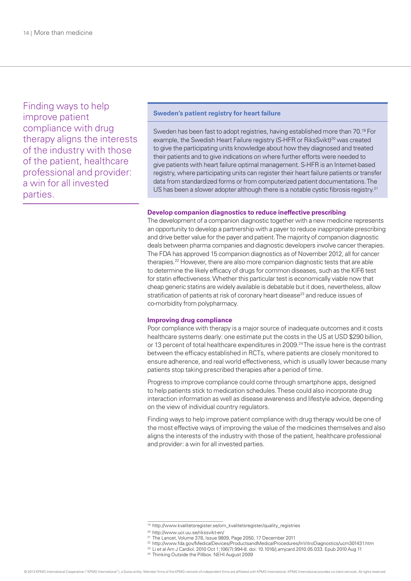Finding ways to help improve patient compliance with drug therapy aligns the interests of the industry with those of the patient, healthcare professional and provider: a win for all invested parties.

#### **Sweden's patient registry for heart failure**

Sweden has been fast to adopt registries, having established more than 70.19 For example, the Swedish Heart Failure registry (S-HFR or RiksSvikt)<sup>20</sup> was created to give the participating units knowledge about how they diagnosed and treated their patients and to give indications on where further efforts were needed to give patients with heart failure optimal management. S-HFR is an Internet-based registry, where participating units can register their heart failure patients or transfer data from standardized forms or from computerized patient documentations. The US has been a slower adopter although there is a notable cystic fibrosis registry.<sup>21</sup>

#### **Develop companion diagnostics to reduce ineffective prescribing**

The development of a companion diagnostic together with a new medicine represents an opportunity to develop a partnership with a payer to reduce inappropriate prescribing and drive better value for the payer and patient. The majority of companion diagnostic deals between pharma companies and diagnostic developers involve cancer therapies. The FDA has approved 15 companion diagnostics as of November 2012, all for cancer therapies.22 However, there are also more companion diagnostic tests that are able to determine the likely efficacy of drugs for common diseases, such as the KIF6 test for statin effectiveness. Whether this particular test is economically viable now that cheap generic statins are widely available is debatable but it does, nevertheless, allow stratification of patients at risk of coronary heart disease<sup>23</sup> and reduce issues of co-morbidity from polypharmacy.

#### **Improving drug compliance**

Poor compliance with therapy is a major source of inadequate outcomes and it costs healthcare systems dearly: one estimate put the costs in the US at USD \$290 billion, or 13 percent of total healthcare expenditures in 2009.<sup>24</sup> The issue here is the contrast between the efficacy established in RCTs, where patients are closely monitored to ensure adherence, and real world effectiveness, which is usually lower because many patients stop taking prescribed therapies after a period of time.

Progress to improve compliance could come through smartphone apps, designed to help patients stick to medication schedules. These could also incorporate drug interaction information as well as disease awareness and lifestyle advice, depending on the view of individual country regulators.

Finding ways to help improve patient compliance with drug therapy would be one of the most effective ways of improving the value of the medicines themselves and also aligns the interests of the industry with those of the patient, healthcare professional and provider: a win for all invested parties.

- 22 <http://www.fda.gov/MedicalDevices/ProductsandMedicalProcedures/InVitroDiagnostics/ucm301431.htm>
	- 23 Li et al Am J Cardiol. 2010 Oct 1;106(7):994-8. doi: 10.1016/j.amjcard.2010.05.033. Epub 2010 Aug 11

<sup>19</sup> [http://www.kvalitetsregister.se/om\\_kvalitetsregister/quality\\_registries](http://www.kvalitetsregister.se/om_kvalitetsregister/quality_registries)

<sup>20</sup> <http://www.ucr.uu.se/rikssvikt-en/>

<sup>21</sup> The Lancet, Volume 378, Issue 9809, Page 2050, 17 December 2011

<sup>&</sup>lt;sup>24</sup> Thinking Outside the Pillbox. NEHI August 2009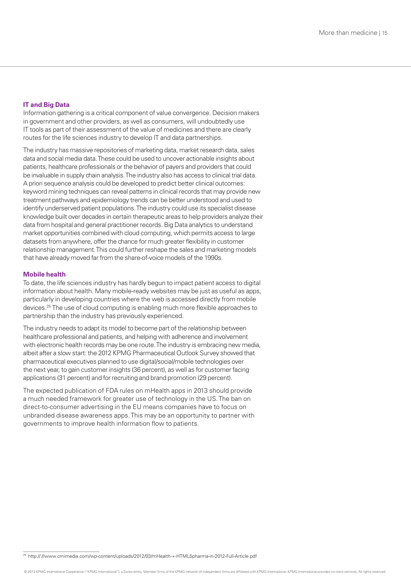#### **IT and Big Data**

Information gathering is a critical component of value convergence. Decision makers in government and other providers, as well as consumers, will undoubtedly use IT tools as part of their assessment of the value of medicines and there are clearly routes for the life sciences industry to develop IT and data partnerships.

The industry has massive repositories of marketing data, market research data, sales data and social media data. These could be used to uncover actionable insights about patients, healthcare professionals or the behavior of payers and providers that could be invaluable in supply chain analysis. The industry also has access to clinical trial data. A priori sequence analysis could be developed to predict better clinical outcomes: keyword mining techniques can reveal patterns in clinical records that may provide new treatment pathways and epidemiology trends can be better understood and used to identify underserved patient populations. The industry could use its specialist disease knowledge built over decades in certain therapeutic areas to help providers analyze their data from hospital and general practitioner records. Big Data analytics to understand market opportunities combined with cloud computing, which permits access to large datasets from anywhere, offer the chance for much greater flexibility in customer relationship management. This could further reshape the sales and marketing models that have already moved far from the share-of-voice models of the 1990s.

#### **Mobile health**

To date, the life sciences industry has hardly begun to impact patient access to digital information about health. Many mobile-ready websites may be just as useful as apps, particularly in developing countries where the web is accessed directly from mobile devices.25 the use of cloud computing is enabling much more flexible approaches to partnership than the industry has previously experienced.

The industry needs to adapt its model to become part of the relationship between healthcare professional and patients, and helping with adherence and involvement with electronic health records may be one route. The industry is embracing new media, albeit after a slow start: the 2012 KPMG Pharmaceutical Outlook Survey showed that pharmaceutical executives planned to use digital/social/mobile technologies over the next year, to gain customer insights (36 percent), as well as for customer facing applications (31 percent) and for recruiting and brand promotion (29 percent).

The expected publication of FDA rules on mHealth apps in 2013 should provide a much needed framework for greater use of technology in the US. The ban on direct-to-consumer advertising in the EU means companies have to focus on unbranded disease awareness apps. This may be an opportunity to partner with governments to improve health information flow to patients.

<sup>25</sup> [http:// //www.cmimedia.com/wp-content/uploads/2012/03/mHealth-+-HTML5pharma-in-2012-Full-Article.pdf](http:////www.cmimedia.com/wp-content/uploads/2012/03/mHealth-+-HTML5pharma-in-2012-Full-Article.pdf)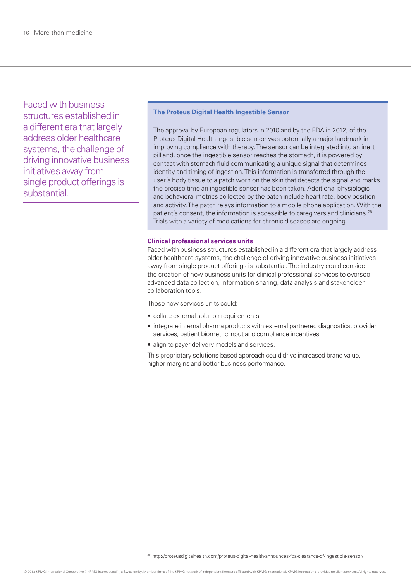Faced with business structures established in a different era that largely address older healthcare systems, the challenge of driving innovative business initiatives away from single product offerings is substantial.

#### **The Proteus Digital Health Ingestible Sensor**

The approval by European regulators in 2010 and by the FDA in 2012, of the Proteus Digital Health ingestible sensor was potentially a major landmark in improving compliance with therapy. The sensor can be integrated into an inert pill and, once the ingestible sensor reaches the stomach, it is powered by contact with stomach fluid communicating a unique signal that determines identity and timing of ingestion. This information is transferred through the user's body tissue to a patch worn on the skin that detects the signal and marks the precise time an ingestible sensor has been taken. Additional physiologic and behavioral metrics collected by the patch include heart rate, body position and activity. The patch relays information to a mobile phone application. With the patient's consent, the information is accessible to caregivers and clinicians.<sup>26</sup> Trials with a variety of medications for chronic diseases are ongoing.

#### **Clinical professional services units**

Faced with business structures established in a different era that largely address older healthcare systems, the challenge of driving innovative business initiatives away from single product offerings is substantial. The industry could consider the creation of new business units for clinical professional services to oversee advanced data collection, information sharing, data analysis and stakeholder collaboration tools.

These new services units could:

- collate external solution requirements
- integrate internal pharma products with external partnered diagnostics, provider services, patient biometric input and compliance incentives
- align to payer delivery models and services.

This proprietary solutions-based approach could drive increased brand value, higher margins and better business performance.

<sup>26</sup> <http://proteusdigitalhealth.com/proteus-digital-health-announces-fda-clearance-of-ingestible-sensor/>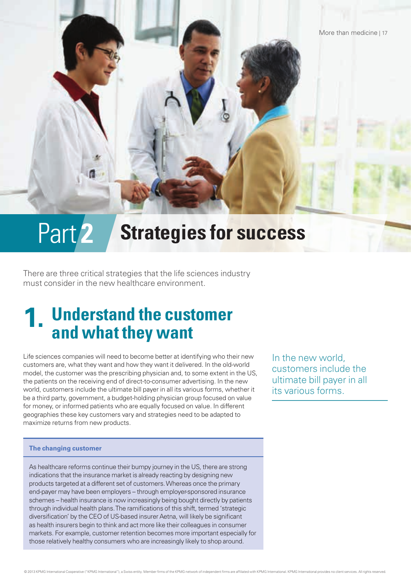

## **Strategies for success** Part **2**

There are three critical strategies that the life sciences industry must consider in the new healthcare environment.

## **Understand the customer 1. and what they want**

Life sciences companies will need to become better at identifying who their new customers are, what they want and how they want it delivered. In the old-world model, the customer was the prescribing physician and, to some extent in the US, the patients on the receiving end of direct-to-consumer advertising. In the new world, customers include the ultimate bill payer in all its various forms, whether it be a third party, government, a budget-holding physician group focused on value for money, or informed patients who are equally focused on value. In different geographies these key customers vary and strategies need to be adapted to maximize returns from new products.

In the new world, customers include the ultimate bill payer in all its various forms.

#### **The changing customer**

As healthcare reforms continue their bumpy journey in the US, there are strong indications that the insurance market is already reacting by designing new products targeted at a different set of customers. Whereas once the primary end-payer may have been employers – through employer-sponsored insurance schemes – health insurance is now increasingly being bought directly by patients through individual health plans. The ramifications of this shift, termed 'strategic diversification' by the CEO of US-based insurer Aetna, will likely be significant as health insurers begin to think and act more like their colleagues in consumer markets. For example, customer retention becomes more important especially for those relatively healthy consumers who are increasingly likely to shop around.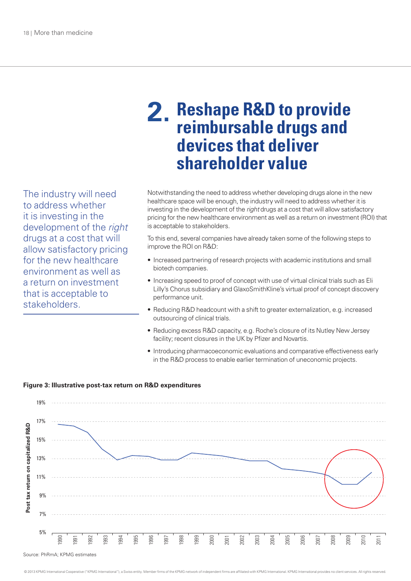## 2. Reshape R&D to provide **reimbursable drugs and devices that deliver shareholder value**

The industry will need to address whether it is investing in the development of the *right* drugs at a cost that will allow satisfactory pricing for the new healthcare environment as well as a return on investment that is acceptable to stakeholders.

Notwithstanding the need to address whether developing drugs alone in the new healthcare space will be enough, the industry will need to address whether it is investing in the development of the *right* drugs at a cost that will allow satisfactory pricing for the new healthcare environment as well as a return on investment (ROI) that is acceptable to stakeholders.

To this end, several companies have already taken some of the following steps to improve the ROI on R&D:

- Increased partnering of research projects with academic institutions and small biotech companies.
- Increasing speed to proof of concept with use of virtual clinical trials such as Eli Lilly's Chorus subsidiary and GlaxoSmithKline's virtual proof of concept discovery performance unit.
- Reducing R&D headcount with a shift to greater externalization, e.g. increased outsourcing of clinical trials.
- Reducing excess R&D capacity, e.g. Roche's closure of its Nutley New Jersey facility; recent closures in the UK by Pfizer and Novartis.
- Introducing pharmacoeconomic evaluations and comparative effectiveness early in the R&D process to enable earlier termination of uneconomic projects.



#### **Figure 3: Illustrative post-tax return on R&D expenditures**

<sup>© 2013</sup> KPMG International Cooperative ("KPMG International"), a Swiss entity. Member firms of the KPMG network of independent firms are affiliated with KPMG International. KPMG International provides no client services. Al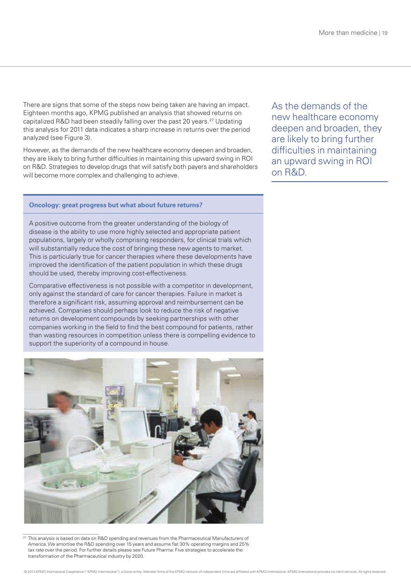There are signs that some of the steps now being taken are having an impact. Eighteen months ago, KPMG published an analysis that showed returns on capitalized R&D had been steadily falling over the past 20 years.<sup>27</sup> Updating this analysis for 2011 data indicates a sharp increase in returns over the period analyzed (see Figure 3).

However, as the demands of the new healthcare economy deepen and broaden, they are likely to bring further difficulties in maintaining this upward swing in ROI on R&D. Strategies to develop drugs that will satisfy both payers and shareholders will become more complex and challenging to achieve.

#### **Oncology: great progress but what about future returns?**

A positive outcome from the greater understanding of the biology of disease is the ability to use more highly selected and appropriate patient populations, largely or wholly comprising responders, for clinical trials which will substantially reduce the cost of bringing these new agents to market. This is particularly true for cancer therapies where these developments have improved the identification of the patient population in which these drugs should be used, thereby improving cost-effectiveness.

Comparative effectiveness is not possible with a competitor in development, only against the standard of care for cancer therapies. Failure in market is therefore a significant risk, assuming approval and reimbursement can be achieved. Companies should perhaps look to reduce the risk of negative returns on development compounds by seeking partnerships with other companies working in the field to find the best compound for patients, rather than wasting resources in competition unless there is compelling evidence to support the superiority of a compound in house.



<sup>27</sup> This analysis is based on data on R&D spending and revenues from the Pharmaceutical Manufacturers of America. We amortise the R&D spending over 15 years and assume flat 30% operating margins and 25% tax rate over the period. For further details please see Future Pharma: Five strategies to accelerate the transformation of the Pharmaceutical industry by 2020.

As the demands of the new healthcare economy deepen and broaden, they are likely to bring further difficulties in maintaining an upward swing in ROI on R&D.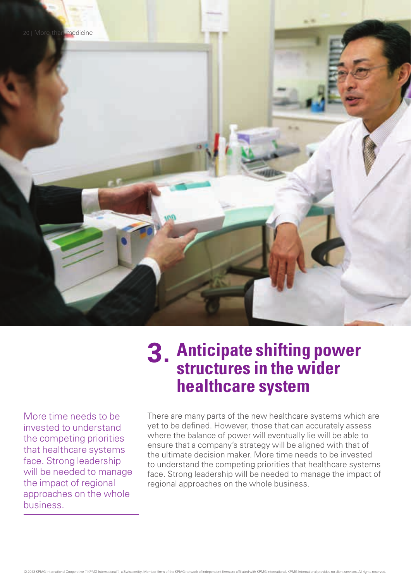

## **Anticipate shifting power structures in the wider healthcare system 3.**

More time needs to be invested to understand the competing priorities that healthcare systems face. Strong leadership will be needed to manage the impact of regional approaches on the whole business.

There are many parts of the new healthcare systems which are yet to be defined. However, those that can accurately assess where the balance of power will eventually lie will be able to ensure that a company's strategy will be aligned with that of the ultimate decision maker. More time needs to be invested to understand the competing priorities that healthcare systems face. Strong leadership will be needed to manage the impact of regional approaches on the whole business.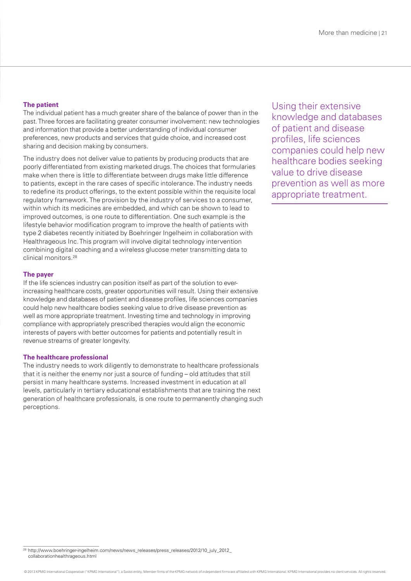#### **The patient**

The individual patient has a much greater share of the balance of power than in the past. Three forces are facilitating greater consumer involvement: new technologies and information that provide a better understanding of individual consumer preferences, new products and services that guide choice, and increased cost sharing and decision making by consumers.

The industry does not deliver value to patients by producing products that are poorly differentiated from existing marketed drugs. The choices that formularies make when there is little to differentiate between drugs make little difference to patients, except in the rare cases of specific intolerance. The industry needs to redefine its product offerings, to the extent possible within the requisite local regulatory framework. The provision by the industry of services to a consumer, within which its medicines are embedded, and which can be shown to lead to improved outcomes, is one route to differentiation. One such example is the lifestyle behavior modification program to improve the health of patients with type 2 diabetes recently initiated by Boehringer Ingelheim in collaboration with Healthrageous Inc. This program will involve digital technology intervention combining digital coaching and a wireless glucose meter transmitting data to clinical monitors.28

#### **The payer**

If the life sciences industry can position itself as part of the solution to everincreasing healthcare costs, greater opportunities will result. Using their extensive knowledge and databases of patient and disease profiles, life sciences companies could help new healthcare bodies seeking value to drive disease prevention as well as more appropriate treatment. Investing time and technology in improving compliance with appropriately prescribed therapies would align the economic interests of payers with better outcomes for patients and potentially result in revenue streams of greater longevity.

#### **The healthcare professional**

The industry needs to work diligently to demonstrate to healthcare professionals that it is neither the enemy nor just a source of funding – old attitudes that still persist in many healthcare systems. Increased investment in education at all levels, particularly in tertiary educational establishments that are training the next generation of healthcare professionals, is one route to permanently changing such perceptions.

Using their extensive knowledge and databases of patient and disease profiles, life sciences companies could help new healthcare bodies seeking value to drive disease prevention as well as more appropriate treatment.

<sup>28</sup> [http://www.boehringer-ingelheim.com/news/news\\_releases/press\\_releases/2012/10\\_july\\_2012\\_](http://www.boehringer-ingelheim.com/news/news_releases/press_releases/2012/10_july_2012_) collaborationhealthrageous.html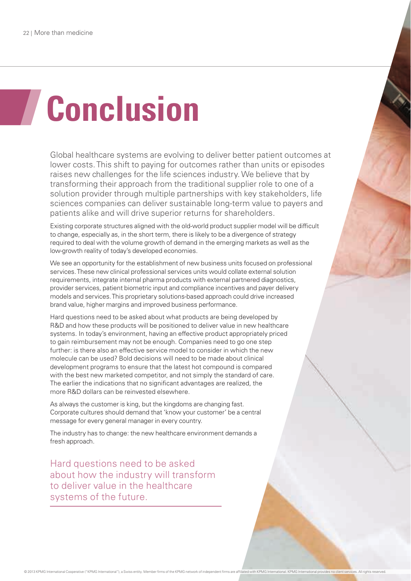## **Conclusion**

Global healthcare systems are evolving to deliver better patient outcomes at lower costs. This shift to paying for outcomes rather than units or episodes raises new challenges for the life sciences industry. We believe that by transforming their approach from the traditional supplier role to one of a solution provider through multiple partnerships with key stakeholders, life sciences companies can deliver sustainable long-term value to payers and patients alike and will drive superior returns for shareholders.

Existing corporate structures aligned with the old-world product supplier model will be difficult to change, especially as, in the short term, there is likely to be a divergence of strategy required to deal with the volume growth of demand in the emerging markets as well as the low-growth reality of today's developed economies.

We see an opportunity for the establishment of new business units focused on professional services. These new clinical professional services units would collate external solution requirements, integrate internal pharma products with external partnered diagnostics, provider services, patient biometric input and compliance incentives and payer delivery models and services. This proprietary solutions-based approach could drive increased brand value, higher margins and improved business performance.

Hard questions need to be asked about what products are being developed by R&D and how these products will be positioned to deliver value in new healthcare systems. In today's environment, having an effective product appropriately priced to gain reimbursement may not be enough. Companies need to go one step further: is there also an effective service model to consider in which the new molecule can be used? Bold decisions will need to be made about clinical development programs to ensure that the latest hot compound is compared with the best new marketed competitor, and not simply the standard of care. The earlier the indications that no significant advantages are realized, the more R&D dollars can be reinvested elsewhere.

As always the customer is king, but the kingdoms are changing fast. Corporate cultures should demand that 'know your customer' be a central message for every general manager in every country.

The industry has to change: the new healthcare environment demands a fresh approach.

Hard questions need to be asked about how the industry will transform to deliver value in the healthcare systems of the future.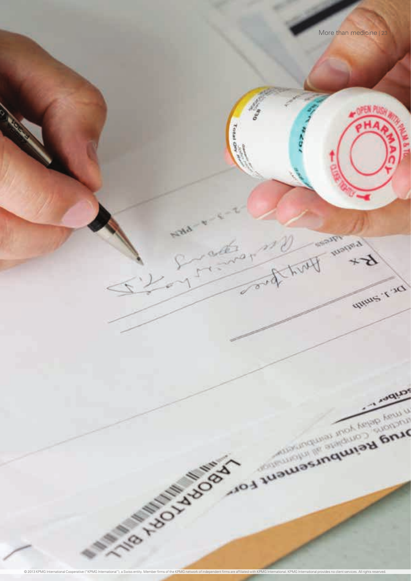$6+$ 

unius r act

**SCUDS** 

Total O

**MEL SITE** 

Contained the Chance

BOA JUSTICE INCOME BRACK

**NB T-30 YANNA BOOM**